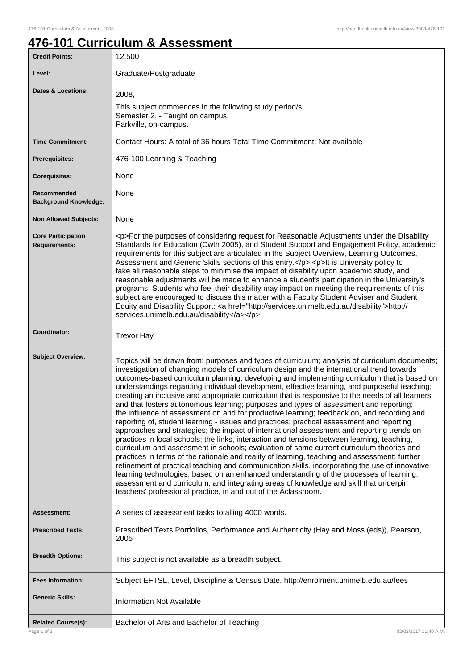## **476-101 Curriculum & Assessment**

| <b>Credit Points:</b>                             | 12.500                                                                                                                                                                                                                                                                                                                                                                                                                                                                                                                                                                                                                                                                                                                                                                                                                                                                                                                                                                                                                                                                                                                                                                                                                                                                                                                                                                                                                                                                                                                               |
|---------------------------------------------------|--------------------------------------------------------------------------------------------------------------------------------------------------------------------------------------------------------------------------------------------------------------------------------------------------------------------------------------------------------------------------------------------------------------------------------------------------------------------------------------------------------------------------------------------------------------------------------------------------------------------------------------------------------------------------------------------------------------------------------------------------------------------------------------------------------------------------------------------------------------------------------------------------------------------------------------------------------------------------------------------------------------------------------------------------------------------------------------------------------------------------------------------------------------------------------------------------------------------------------------------------------------------------------------------------------------------------------------------------------------------------------------------------------------------------------------------------------------------------------------------------------------------------------------|
| Level:                                            | Graduate/Postgraduate                                                                                                                                                                                                                                                                                                                                                                                                                                                                                                                                                                                                                                                                                                                                                                                                                                                                                                                                                                                                                                                                                                                                                                                                                                                                                                                                                                                                                                                                                                                |
| <b>Dates &amp; Locations:</b>                     | 2008,<br>This subject commences in the following study period/s:<br>Semester 2, - Taught on campus.<br>Parkville, on-campus.                                                                                                                                                                                                                                                                                                                                                                                                                                                                                                                                                                                                                                                                                                                                                                                                                                                                                                                                                                                                                                                                                                                                                                                                                                                                                                                                                                                                         |
| <b>Time Commitment:</b>                           | Contact Hours: A total of 36 hours Total Time Commitment: Not available                                                                                                                                                                                                                                                                                                                                                                                                                                                                                                                                                                                                                                                                                                                                                                                                                                                                                                                                                                                                                                                                                                                                                                                                                                                                                                                                                                                                                                                              |
| Prerequisites:                                    | 476-100 Learning & Teaching                                                                                                                                                                                                                                                                                                                                                                                                                                                                                                                                                                                                                                                                                                                                                                                                                                                                                                                                                                                                                                                                                                                                                                                                                                                                                                                                                                                                                                                                                                          |
| <b>Corequisites:</b>                              | None                                                                                                                                                                                                                                                                                                                                                                                                                                                                                                                                                                                                                                                                                                                                                                                                                                                                                                                                                                                                                                                                                                                                                                                                                                                                                                                                                                                                                                                                                                                                 |
| Recommended<br><b>Background Knowledge:</b>       | None                                                                                                                                                                                                                                                                                                                                                                                                                                                                                                                                                                                                                                                                                                                                                                                                                                                                                                                                                                                                                                                                                                                                                                                                                                                                                                                                                                                                                                                                                                                                 |
| <b>Non Allowed Subjects:</b>                      | None                                                                                                                                                                                                                                                                                                                                                                                                                                                                                                                                                                                                                                                                                                                                                                                                                                                                                                                                                                                                                                                                                                                                                                                                                                                                                                                                                                                                                                                                                                                                 |
| <b>Core Participation</b><br><b>Requirements:</b> | <p>For the purposes of considering request for Reasonable Adjustments under the Disability<br/>Standards for Education (Cwth 2005), and Student Support and Engagement Policy, academic<br/>requirements for this subject are articulated in the Subject Overview, Learning Outcomes,<br/>Assessment and Generic Skills sections of this entry.</p> <p>lt is University policy to<br/>take all reasonable steps to minimise the impact of disability upon academic study, and<br/>reasonable adjustments will be made to enhance a student's participation in the University's<br/>programs. Students who feel their disability may impact on meeting the requirements of this<br/>subject are encouraged to discuss this matter with a Faculty Student Adviser and Student<br/>Equity and Disability Support: &lt; a href="http://services.unimelb.edu.au/disability"&gt;http://<br/>services.unimelb.edu.au/disability</p>                                                                                                                                                                                                                                                                                                                                                                                                                                                                                                                                                                                                         |
| Coordinator:                                      | <b>Trevor Hay</b>                                                                                                                                                                                                                                                                                                                                                                                                                                                                                                                                                                                                                                                                                                                                                                                                                                                                                                                                                                                                                                                                                                                                                                                                                                                                                                                                                                                                                                                                                                                    |
| <b>Subject Overview:</b>                          | Topics will be drawn from: purposes and types of curriculum; analysis of curriculum documents;<br>investigation of changing models of curriculum design and the international trend towards<br>outcomes-based curriculum planning; developing and implementing curriculum that is based on<br>understandings regarding individual development, effective learning, and purposeful teaching;<br>creating an inclusive and appropriate curriculum that is responsive to the needs of all learners<br>and that fosters autonomous learning; purposes and types of assessment and reporting;<br>the influence of assessment on and for productive learning; feedback on, and recording and<br>reporting of, student learning - issues and practices; practical assessment and reporting<br>approaches and strategies; the impact of international assessment and reporting trends on<br>practices in local schools; the links, interaction and tensions between learning, teaching,<br>curriculum and assessment in schools; evaluation of some current curriculum theories and<br>practices in terms of the rationale and reality of learning, teaching and assessment; further<br>refinement of practical teaching and communication skills, incorporating the use of innovative<br>learning technologies, based on an enhanced understanding of the processes of learning,<br>assessment and curriculum; and integrating areas of knowledge and skill that underpin<br>teachers' professional practice, in and out of the Aclassroom. |
| Assessment:                                       | A series of assessment tasks totalling 4000 words.                                                                                                                                                                                                                                                                                                                                                                                                                                                                                                                                                                                                                                                                                                                                                                                                                                                                                                                                                                                                                                                                                                                                                                                                                                                                                                                                                                                                                                                                                   |
| <b>Prescribed Texts:</b>                          | Prescribed Texts:Portfolios, Performance and Authenticity (Hay and Moss (eds)), Pearson,<br>2005                                                                                                                                                                                                                                                                                                                                                                                                                                                                                                                                                                                                                                                                                                                                                                                                                                                                                                                                                                                                                                                                                                                                                                                                                                                                                                                                                                                                                                     |
| <b>Breadth Options:</b>                           | This subject is not available as a breadth subject.                                                                                                                                                                                                                                                                                                                                                                                                                                                                                                                                                                                                                                                                                                                                                                                                                                                                                                                                                                                                                                                                                                                                                                                                                                                                                                                                                                                                                                                                                  |
| <b>Fees Information:</b>                          | Subject EFTSL, Level, Discipline & Census Date, http://enrolment.unimelb.edu.au/fees                                                                                                                                                                                                                                                                                                                                                                                                                                                                                                                                                                                                                                                                                                                                                                                                                                                                                                                                                                                                                                                                                                                                                                                                                                                                                                                                                                                                                                                 |
| <b>Generic Skills:</b>                            | <b>Information Not Available</b>                                                                                                                                                                                                                                                                                                                                                                                                                                                                                                                                                                                                                                                                                                                                                                                                                                                                                                                                                                                                                                                                                                                                                                                                                                                                                                                                                                                                                                                                                                     |
| <b>Related Course(s):</b><br>Page 1 of 2          | Bachelor of Arts and Bachelor of Teaching<br>02/02/2017 11:40 A.M.                                                                                                                                                                                                                                                                                                                                                                                                                                                                                                                                                                                                                                                                                                                                                                                                                                                                                                                                                                                                                                                                                                                                                                                                                                                                                                                                                                                                                                                                   |